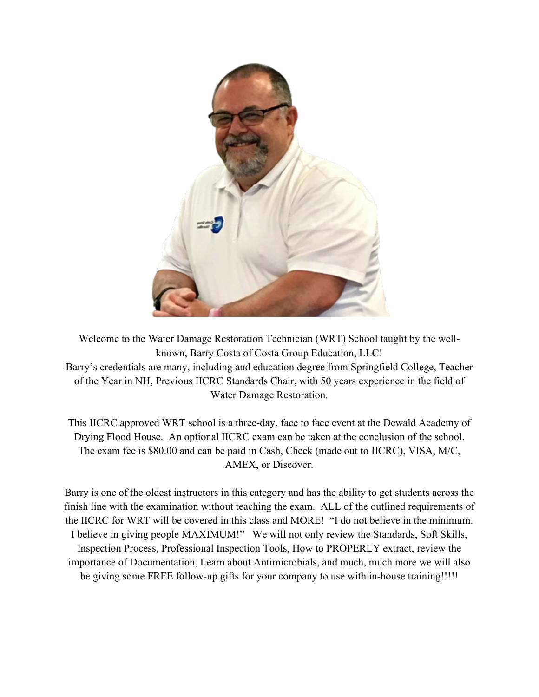

Welcome to the Water Damage Restoration Technician (WRT) School taught by the wellknown, Barry Costa of Costa Group Education, LLC! Barry's credentials are many, including and education degree from Springfield College, Teacher of the Year in NH, Previous IICRC Standards Chair, with 50 years experience in the field of Water Damage Restoration.

This IICRC approved WRT school is a three-day, face to face event at the Dewald Academy of Drying Flood House. An optional IICRC exam can be taken at the conclusion of the school. The exam fee is \$80.00 and can be paid in Cash, Check (made out to IICRC), VISA, M/C, AMEX, or Discover.

Barry is one of the oldest instructors in this category and has the ability to get students across the finish line with the examination without teaching the exam. ALL of the outlined requirements of the IICRC for WRT will be covered in this class and MORE! "I do not believe in the minimum. I believe in giving people MAXIMUM!" We will not only review the Standards, Soft Skills, Inspection Process, Professional Inspection Tools, How to PROPERLY extract, review the importance of Documentation, Learn about Antimicrobials, and much, much more we will also be giving some FREE follow-up gifts for your company to use with in-house training!!!!!